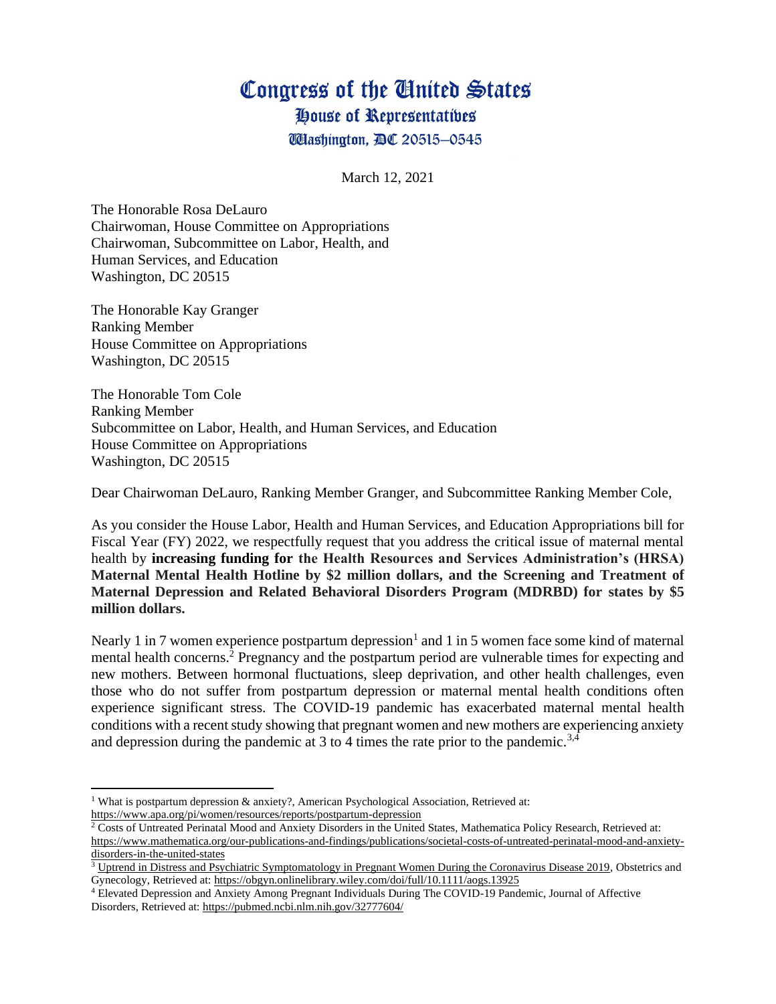## Congress of the Ginited States

House of Representatives

**Washington, DC 20515-0545** 

March 12, 2021

The Honorable Rosa DeLauro Chairwoman, House Committee on Appropriations Chairwoman, Subcommittee on Labor, Health, and Human Services, and Education Washington, DC 20515

The Honorable Kay Granger Ranking Member House Committee on Appropriations Washington, DC 20515

The Honorable Tom Cole Ranking Member Subcommittee on Labor, Health, and Human Services, and Education House Committee on Appropriations Washington, DC 20515

Dear Chairwoman DeLauro, Ranking Member Granger, and Subcommittee Ranking Member Cole,

As you consider the House Labor, Health and Human Services, and Education Appropriations bill for Fiscal Year (FY) 2022, we respectfully request that you address the critical issue of maternal mental health by **increasing funding for the Health Resources and Services Administration's (HRSA) Maternal Mental Health Hotline by \$2 million dollars, and the Screening and Treatment of Maternal Depression and Related Behavioral Disorders Program (MDRBD) for states by \$5 million dollars.**

Nearly 1 in 7 women experience postpartum depression<sup>1</sup> and 1 in 5 women face some kind of maternal mental health concerns.<sup>2</sup> Pregnancy and the postpartum period are vulnerable times for expecting and new mothers. Between hormonal fluctuations, sleep deprivation, and other health challenges, even those who do not suffer from postpartum depression or maternal mental health conditions often experience significant stress. The COVID-19 pandemic has exacerbated maternal mental health conditions with a recent study showing that pregnant women and new mothers are experiencing anxiety and depression during the pandemic at 3 to 4 times the rate prior to the pandemic.<sup>3,4</sup>

<sup>&</sup>lt;sup>1</sup> What is postpartum depression & anxiety?, American Psychological Association, Retrieved at: <https://www.apa.org/pi/women/resources/reports/postpartum-depression>

<sup>2</sup> Costs of Untreated Perinatal Mood and Anxiety Disorders in the United States, Mathematica Policy Research, Retrieved at[:](https://www.mathematica.org/our-publications-and-findings/publications/societal-costs-of-untreated-perinatal-mood-and-anxiety-disorders-in-the-united-states) [https://www.mathematica.org/our-publications-and-findings/publications/societal-costs-of-untreated-perinatal-mood-and-anxiety](https://www.mathematica.org/our-publications-and-findings/publications/societal-costs-of-untreated-perinatal-mood-and-anxiety-disorders-in-the-united-states)[disorders-in-the-united-states](https://www.mathematica.org/our-publications-and-findings/publications/societal-costs-of-untreated-perinatal-mood-and-anxiety-disorders-in-the-united-states)

<sup>3</sup> Uptrend in [Distress and Psychiatric Symptomatology in Pregnant Women During the Coronavirus Disease 2019,](https://doi.org/10.1111/aogs.13925) Obstetrics and Gynecology, Retrieved at:<https://obgyn.onlinelibrary.wiley.com/doi/full/10.1111/aogs.13925>

<sup>4</sup> Elevated Depression and Anxiety Among Pregnant Individuals During The COVID-19 Pandemic, Journal of Affective Disorders, Retrieved a[t:](https://pubmed.ncbi.nlm.nih.gov/32777604/) <https://pubmed.ncbi.nlm.nih.gov/32777604/>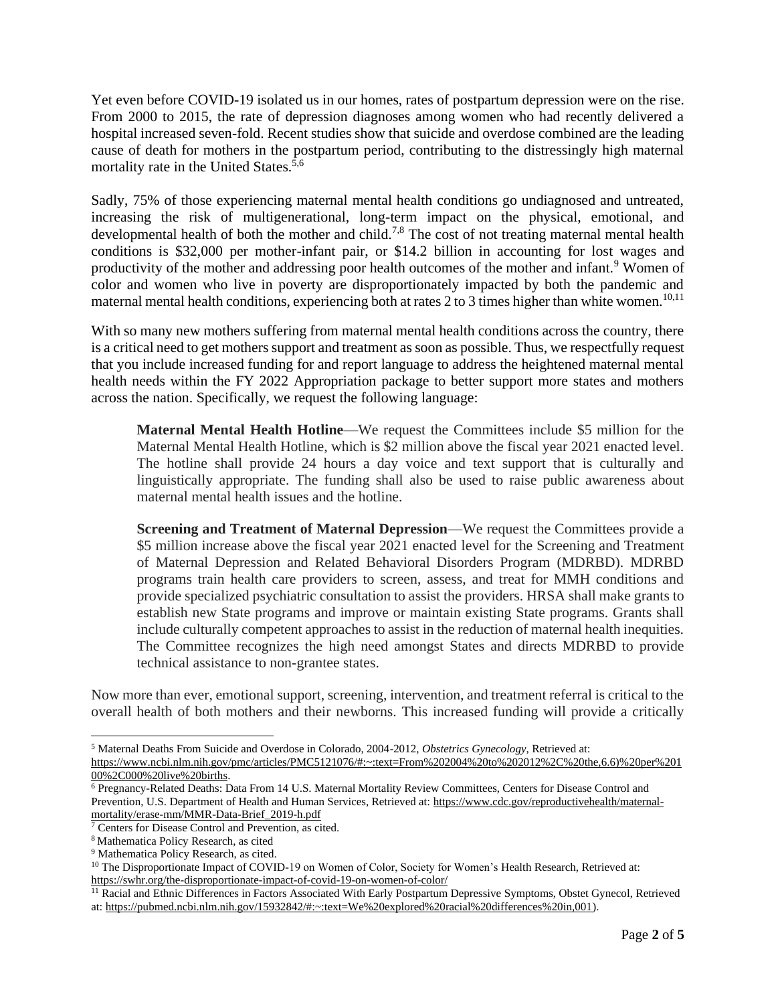Yet even before COVID-19 isolated us in our homes, rates of postpartum depression were on the rise. From 2000 to 2015, the rate of depression diagnoses among women who had recently delivered a hospital increased seven-fold. Recent studies show that suicide and overdose combined are the leading cause of death for mothers in the postpartum period, contributing to the distressingly high maternal mortality rate in the United States.<sup>5,6</sup>

Sadly, 75% of those experiencing maternal mental health conditions go undiagnosed and untreated, increasing the risk of multigenerational, long-term impact on the physical, emotional, and developmental health of both the mother and child.<sup>7,8</sup> The cost of not treating maternal mental health conditions is \$32,000 per mother-infant pair, or \$14.2 billion in accounting for lost wages and productivity of the mother and addressing poor health outcomes of the mother and infant.<sup>9</sup> Women of color and women who live in poverty are disproportionately impacted by both the pandemic and maternal mental health conditions, experiencing both at rates 2 to 3 times higher than white women.<sup>10,11</sup>

With so many new mothers suffering from maternal mental health conditions across the country, there is a critical need to get mothers support and treatment as soon as possible. Thus, we respectfully request that you include increased funding for and report language to address the heightened maternal mental health needs within the FY 2022 Appropriation package to better support more states and mothers across the nation. Specifically, we request the following language:

**Maternal Mental Health Hotline**—We request the Committees include \$5 million for the Maternal Mental Health Hotline, which is \$2 million above the fiscal year 2021 enacted level. The hotline shall provide 24 hours a day voice and text support that is culturally and linguistically appropriate. The funding shall also be used to raise public awareness about maternal mental health issues and the hotline.

**Screening and Treatment of Maternal Depression—We request the Committees provide a** \$5 million increase above the fiscal year 2021 enacted level for the Screening and Treatment of Maternal Depression and Related Behavioral Disorders Program (MDRBD). MDRBD programs train health care providers to screen, assess, and treat for MMH conditions and provide specialized psychiatric consultation to assist the providers. HRSA shall make grants to establish new State programs and improve or maintain existing State programs. Grants shall include culturally competent approaches to assist in the reduction of maternal health inequities. The Committee recognizes the high need amongst States and directs MDRBD to provide technical assistance to non-grantee states.

Now more than ever, emotional support, screening, intervention, and treatment referral is critical to the overall health of both mothers and their newborns. This increased funding will provide a critically

<sup>5</sup> Maternal Deaths From Suicide and Overdose in Colorado, 2004-2012, *Obstetrics Gynecology*, Retrieved at[:](https://www.ncbi.nlm.nih.gov/pmc/articles/PMC5121076/#:~:text=From%202004%20to%202012%2C%20the,6.6)%20per%20100%2C000%20live%20births) [https://www.ncbi.nlm.nih.gov/pmc/articles/PMC5121076/#:~:text=From%202004%20to%202012%2C%20the,6.6\)%20per%201](https://www.ncbi.nlm.nih.gov/pmc/articles/PMC5121076/#:~:text=From%202004%20to%202012%2C%20the,6.6)%20per%20100%2C000%20live%20births) [00%2C000%20live%20births.](https://www.ncbi.nlm.nih.gov/pmc/articles/PMC5121076/#:~:text=From%202004%20to%202012%2C%20the,6.6)%20per%20100%2C000%20live%20births)

<sup>6</sup> Pregnancy-Related Deaths: Data From 14 U.S. Maternal Mortality Review Committees, Centers for Disease Control and Prevention, U.S. Department of Health and Human Services, Retrieved a[t:](https://www.cdc.gov/reproductivehealth/maternal-mortality/erase-mm/MMR-Data-Brief_2019-h.pdf) [https://www.cdc.gov/reproductivehealth/maternal](https://www.cdc.gov/reproductivehealth/maternal-mortality/erase-mm/MMR-Data-Brief_2019-h.pdf)[mortality/erase-mm/MMR-Data-Brief\\_2019-h.pdf](https://www.cdc.gov/reproductivehealth/maternal-mortality/erase-mm/MMR-Data-Brief_2019-h.pdf)

<sup>7</sup> Centers for Disease Control and Prevention, as cited.

<sup>8</sup> Mathematica Policy Research, as cited

<sup>9</sup> Mathematica Policy Research, as cited*.*

<sup>&</sup>lt;sup>10</sup> The Disproportionate Impact of COVID-19 on Women of Color, Society for Women's Health Research, Retrieved at[:](https://swhr.org/the-disproportionate-impact-of-covid-19-on-women-of-color/) <https://swhr.org/the-disproportionate-impact-of-covid-19-on-women-of-color/>

<sup>&</sup>lt;sup>11</sup> Racial and Ethnic Differences in Factors Associated With Early Postpartum Depressive Symptoms, Obstet Gynecol, Retrieved at[:](https://pubmed.ncbi.nlm.nih.gov/15932842/#:~:text=We%20explored%20racial%20differences%20in,001) [https://pubmed.ncbi.nlm.nih.gov/15932842/#:~:text=We%20explored%20racial%20differences%20in,001\)](https://pubmed.ncbi.nlm.nih.gov/15932842/#:~:text=We%20explored%20racial%20differences%20in,001).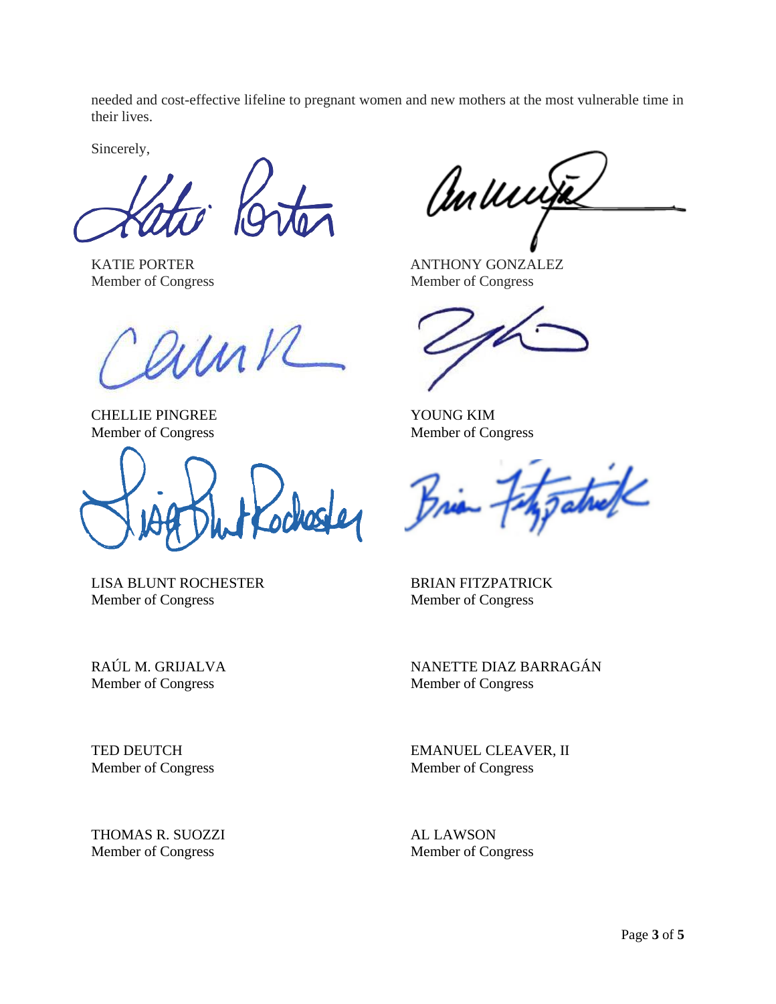needed and cost-effective lifeline to pregnant women and new mothers at the most vulnerable time in their lives.

Sincerely,

Member of Congress Member of Congress

ennk

CHELLIE PINGREE YOUNG KIM Member of Congress Member of Congress

ochoster

LISA BLUNT ROCHESTER BRIAN FITZPATRICK Member of Congress Member of Congress

Member of Congress Member of Congress

THOMAS R. SUOZZI AL LAWSON Member of Congress Member of Congress

anunja

KATIE PORTER ANTHONY GONZALEZ

atrick

RAÚL M. GRIJALVA NANETTE DIAZ BARRAGÁN

TED DEUTCH EMANUEL CLEAVER, II Member of Congress Member of Congress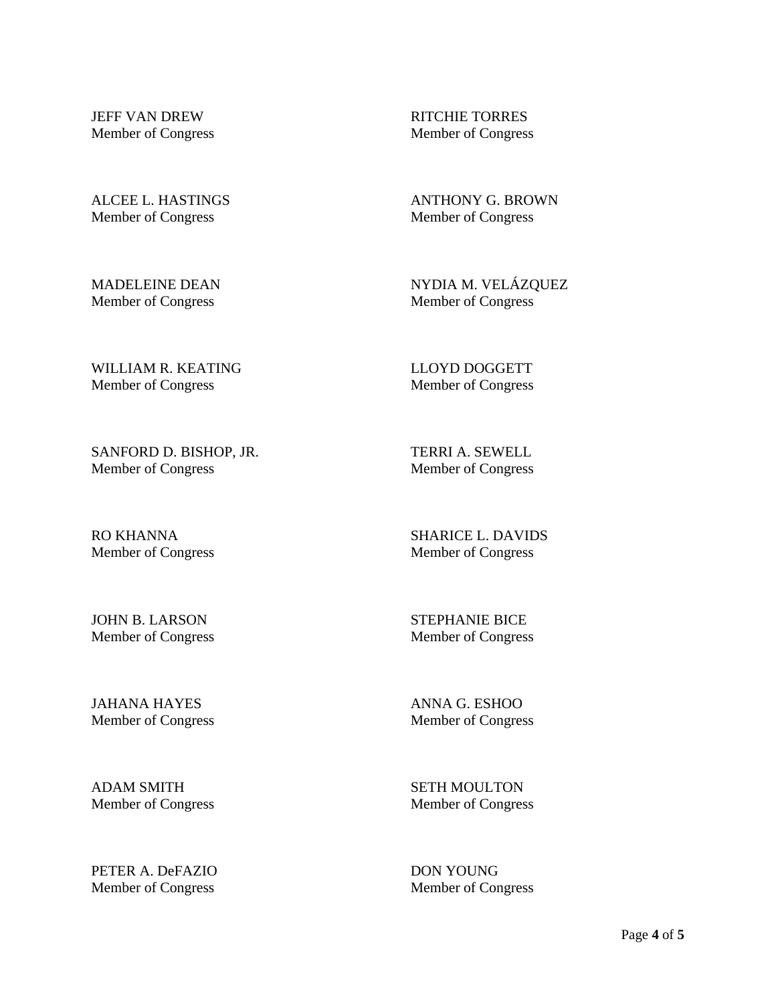JEFF VAN DREW RITCHIE TORRES Member of Congress Member of Congress

ALCEE L. HASTINGS ANTHONY G. BROWN Member of Congress Member of Congress

Member of Congress Member of Congress

MADELEINE DEAN NYDIA M. VELÁZQUEZ

WILLIAM R. KEATING LEXICLE THE LLOYD DOGGETT Member of Congress Member of Congress

SANFORD D. BISHOP, JR. TERRI A. SEWELL Member of Congress Member of Congress

RO KHANNA SHARICE L. DAVIDS Member of Congress Member of Congress

JOHN B. LARSON STEPHANIE BICE

Member of Congress Member of Congress

JAHANA HAYES ANNA G. ESHOO Member of Congress Member of Congress

ADAM SMITH SETH MOULTON Member of Congress Member of Congress

PETER A. DeFAZIO DON YOUNG Member of Congress Member of Congress